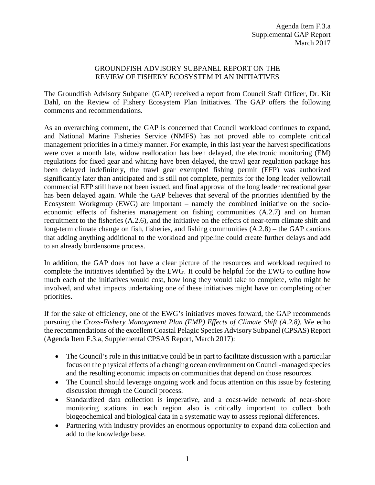## GROUNDFISH ADVISORY SUBPANEL REPORT ON THE REVIEW OF FISHERY ECOSYSTEM PLAN INITIATIVES

The Groundfish Advisory Subpanel (GAP) received a report from Council Staff Officer, Dr. Kit Dahl, on the Review of Fishery Ecosystem Plan Initiatives. The GAP offers the following comments and recommendations.

As an overarching comment, the GAP is concerned that Council workload continues to expand, and National Marine Fisheries Service (NMFS) has not proved able to complete critical management priorities in a timely manner. For example, in this last year the harvest specifications were over a month late, widow reallocation has been delayed, the electronic monitoring (EM) regulations for fixed gear and whiting have been delayed, the trawl gear regulation package has been delayed indefinitely, the trawl gear exempted fishing permit (EFP) was authorized significantly later than anticipated and is still not complete, permits for the long leader yellowtail commercial EFP still have not been issued, and final approval of the long leader recreational gear has been delayed again. While the GAP believes that several of the priorities identified by the Ecosystem Workgroup (EWG) are important – namely the combined initiative on the socioeconomic effects of fisheries management on fishing communities (A.2.7) and on human recruitment to the fisheries (A.2.6), and the initiative on the effects of near-term climate shift and long-term climate change on fish, fisheries, and fishing communities  $(A.2.8)$  – the GAP cautions that adding anything additional to the workload and pipeline could create further delays and add to an already burdensome process.

In addition, the GAP does not have a clear picture of the resources and workload required to complete the initiatives identified by the EWG. It could be helpful for the EWG to outline how much each of the initiatives would cost, how long they would take to complete, who might be involved, and what impacts undertaking one of these initiatives might have on completing other priorities.

If for the sake of efficiency, one of the EWG's initiatives moves forward, the GAP recommends pursuing the *Cross-Fishery Management Plan (FMP) Effects of Climate Shift (A.2.8).* We echo the recommendations of the excellent Coastal Pelagic Species Advisory Subpanel (CPSAS) Report (Agenda Item F.3.a, Supplemental CPSAS Report, March 2017):

- The Council's role in this initiative could be in part to facilitate discussion with a particular focus on the physical effects of a changing ocean environment on Council-managed species and the resulting economic impacts on communities that depend on those resources.
- The Council should leverage ongoing work and focus attention on this issue by fostering discussion through the Council process.
- Standardized data collection is imperative, and a coast-wide network of near-shore monitoring stations in each region also is critically important to collect both biogeochemical and biological data in a systematic way to assess regional differences.
- Partnering with industry provides an enormous opportunity to expand data collection and add to the knowledge base.